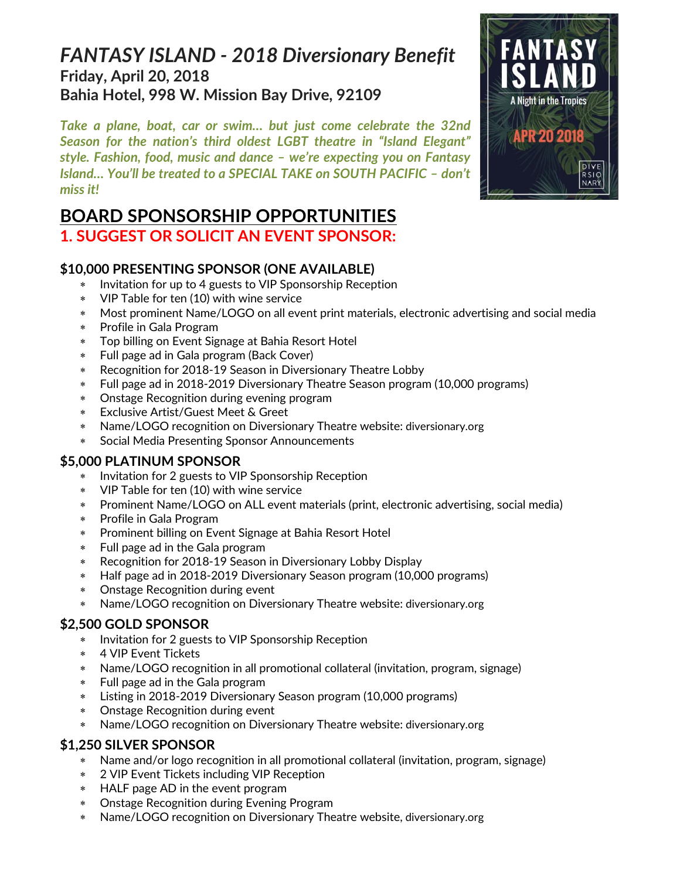# *FANTASY ISLAND - 2018 Diversionary Benefit*  **Friday, April 20, 2018 Bahia Hotel, 998 W. Mission Bay Drive, 92109**

*Take a plane, boat, car or swim… but just come celebrate the 32nd Season for the nation's third oldest LGBT theatre in "Island Elegant" style. Fashion, food, music and dance – we're expecting you on Fantasy Island… You'll be treated to a SPECIAL TAKE on SOUTH PACIFIC – don't miss it!*

# **BOARD SPONSORSHIP OPPORTUNITIES**

### **1. SUGGEST OR SOLICIT AN EVENT SPONSOR:**

### **\$10,000 PRESENTING SPONSOR (ONE AVAILABLE)**

- \* Invitation for up to 4 guests to VIP Sponsorship Reception
- VIP Table for ten (10) with wine service
- Most prominent Name/LOGO on all event print materials, electronic advertising and social media
- Profile in Gala Program
- Top billing on Event Signage at Bahia Resort Hotel
- Full page ad in Gala program (Back Cover)
- Recognition for 2018-19 Season in Diversionary Theatre Lobby
- Full page ad in 2018-2019 Diversionary Theatre Season program (10,000 programs)
- Onstage Recognition during evening program
- Exclusive Artist/Guest Meet & Greet
- Name/LOGO recognition on Diversionary Theatre website: diversionary.org
- Social Media Presenting Sponsor Announcements

### **\$5,000 PLATINUM SPONSOR**

- Invitation for 2 guests to VIP Sponsorship Reception
- VIP Table for ten (10) with wine service
- Prominent Name/LOGO on ALL event materials (print, electronic advertising, social media)
- Profile in Gala Program
- Prominent billing on Event Signage at Bahia Resort Hotel
- Full page ad in the Gala program
- Recognition for 2018-19 Season in Diversionary Lobby Display
- Half page ad in 2018-2019 Diversionary Season program (10,000 programs)
- Onstage Recognition during event
- Name/LOGO recognition on Diversionary Theatre website: diversionary.org

### **\$2,500 GOLD SPONSOR**

- Invitation for 2 guests to VIP Sponsorship Reception
- 4 VIP Event Tickets
- Name/LOGO recognition in all promotional collateral (invitation, program, signage)
- Full page ad in the Gala program
- Listing in 2018-2019 Diversionary Season program (10,000 programs)
- Onstage Recognition during event
- Name/LOGO recognition on Diversionary Theatre website: diversionary.org

### **\$1,250 SILVER SPONSOR**

- Name and/or logo recognition in all promotional collateral (invitation, program, signage)
- 2 VIP Event Tickets including VIP Reception
- HALF page AD in the event program
- Onstage Recognition during Evening Program
- Name/LOGO recognition on Diversionary Theatre website, diversionary.org